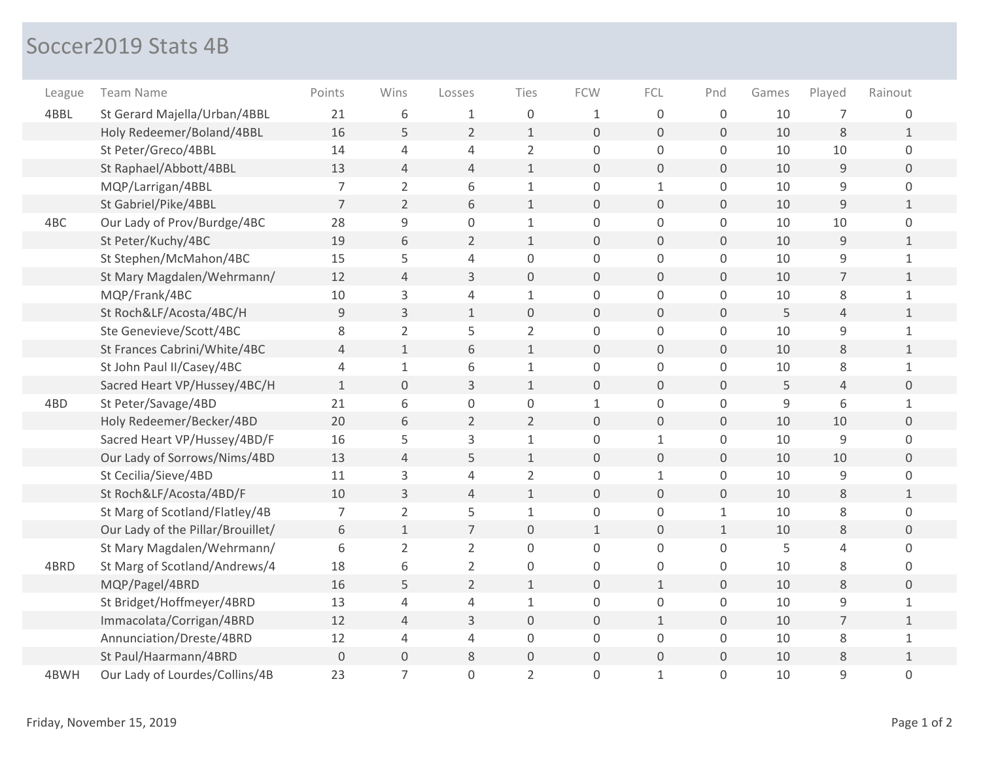## Soccer2019 Stats 4B

| League | Team Name                         | Points         | Wins                | Losses         | Ties                | <b>FCW</b>   | FCL                 | Pnd                 | Games | Played         | Rainout        |
|--------|-----------------------------------|----------------|---------------------|----------------|---------------------|--------------|---------------------|---------------------|-------|----------------|----------------|
| 4BBL   | St Gerard Majella/Urban/4BBL      | 21             | 6                   | 1              | 0                   | 1            | $\boldsymbol{0}$    | $\mathbf 0$         | 10    | $\overline{7}$ | 0              |
|        | Holy Redeemer/Boland/4BBL         | 16             | 5                   | $\overline{2}$ | $\mathbf{1}$        | $\mathbf 0$  | $\mathsf{O}\xspace$ | $\boldsymbol{0}$    | 10    | 8              | $\mathbf{1}$   |
|        | St Peter/Greco/4BBL               | 14             | $\overline{4}$      | 4              | $\overline{2}$      | $\mathsf 0$  | $\mathsf 0$         | 0                   | 10    | 10             | 0              |
|        | St Raphael/Abbott/4BBL            | 13             | $\overline{4}$      | $\overline{4}$ | $\mathbf{1}$        | $\mathbf 0$  | $\mathbf 0$         | $\overline{0}$      | 10    | $9\,$          | $\overline{0}$ |
|        | MQP/Larrigan/4BBL                 | $\overline{7}$ | $\overline{2}$      | 6              | $\mathbf 1$         | $\mathbf 0$  | $\mathbf{1}$        | 0                   | 10    | $\mathsf 9$    | 0              |
|        | St Gabriel/Pike/4BBL              | $\overline{7}$ | $\overline{2}$      | 6              | $\mathbf{1}$        | $\Omega$     | $\Omega$            | $\Omega$            | 10    | 9              | $\mathbf{1}$   |
| 4BC    | Our Lady of Prov/Burdge/4BC       | 28             | $\mathsf 9$         | $\mathbf 0$    | $\mathbf{1}$        | $\mathbf 0$  | 0                   | 0                   | 10    | 10             | 0              |
|        | St Peter/Kuchy/4BC                | 19             | 6                   | $\overline{2}$ | $\mathbf{1}$        | $\Omega$     | $\mathbf{O}$        | $\overline{0}$      | 10    | 9              | $\mathbf{1}$   |
|        | St Stephen/McMahon/4BC            | 15             | 5                   | 4              | 0                   | 0            | 0                   | 0                   | 10    | $\overline{9}$ | $\mathbf{1}$   |
|        | St Mary Magdalen/Wehrmann/        | 12             | 4                   | 3              | $\boldsymbol{0}$    | $\mathbf 0$  | $\overline{0}$      | 0                   | 10    | $\overline{7}$ | $\mathbf{1}$   |
|        | MQP/Frank/4BC                     | 10             | 3                   | 4              | $\mathbf{1}$        | $\mathbf 0$  | 0                   | 0                   | 10    | 8              | $\mathbf{1}$   |
|        | St Roch&LF/Acosta/4BC/H           | 9              | $\overline{3}$      | $1\,$          | $\mathsf{O}\xspace$ | $\mathbf 0$  | $\mathbf{O}$        | $\overline{0}$      | 5     | $\overline{4}$ | $\mathbf{1}$   |
|        | Ste Genevieve/Scott/4BC           | 8              | $\overline{2}$      | 5              | $\overline{2}$      | $\Omega$     | 0                   | 0                   | 10    | 9              | 1              |
|        | St Frances Cabrini/White/4BC      | 4              | $\mathbf{1}$        | 6              | $\mathbf{1}$        | $\mathbf 0$  | $\overline{0}$      | 0                   | 10    | 8              | $\mathbf{1}$   |
|        | St John Paul II/Casey/4BC         | 4              | $\mathbf{1}$        | 6              | $\mathbf{1}$        | $\mathbf 0$  | $\mathbf 0$         | 0                   | 10    | $\,8\,$        | $\mathbf 1$    |
|        | Sacred Heart VP/Hussey/4BC/H      | $\mathbf{1}$   | $\mathsf{O}\xspace$ | 3              | $\mathbf 1$         | $\mathbf 0$  | $\mathbf{O}$        | $\overline{0}$      | 5     | $\overline{4}$ | $\overline{0}$ |
| 4BD    | St Peter/Savage/4BD               | 21             | 6                   | $\mathbf 0$    | $\mathsf 0$         | $\mathbf{1}$ | $\mathbf 0$         | 0                   | 9     | 6              | 1              |
|        | Holy Redeemer/Becker/4BD          | 20             | 6                   | $\overline{2}$ | $\overline{2}$      | $\mathbf 0$  | $\overline{0}$      | 0                   | 10    | 10             | $\mathbf 0$    |
|        | Sacred Heart VP/Hussey/4BD/F      | 16             | 5                   | 3              | $\mathbf 1$         | $\mathbf 0$  | $\mathbf{1}$        | 0                   | 10    | 9              | $\mathbf 0$    |
|        | Our Lady of Sorrows/Nims/4BD      | 13             | $\overline{4}$      | 5              | $\mathbf 1$         | $\mathbf 0$  | $\mathbf{O}$        | $\overline{0}$      | 10    | 10             | $\mathbf 0$    |
|        | St Cecilia/Sieve/4BD              | 11             | 3                   | 4              | $\overline{2}$      | $\mathbf 0$  | $\mathbf{1}$        | 0                   | 10    | 9              | 0              |
|        | St Roch&LF/Acosta/4BD/F           | 10             | 3                   | 4              | $\mathbf{1}$        | $\Omega$     | $\mathbf 0$         | 0                   | 10    | $8\,$          | $\mathbf{1}$   |
|        | St Marg of Scotland/Flatley/4B    | $\overline{7}$ | $\overline{2}$      | 5              | $\mathbf{1}$        | $\mathbf 0$  | $\Omega$            | $\mathbf{1}$        | 10    | 8              | 0              |
|        | Our Lady of the Pillar/Brouillet/ | 6              | $\mathbf{1}$        | $\overline{7}$ | $\mathbf 0$         | $\mathbf{1}$ | $\overline{0}$      | $\mathbf{1}$        | 10    | 8              | $\overline{0}$ |
|        | St Mary Magdalen/Wehrmann/        | 6              | $\overline{2}$      | $\overline{2}$ | 0                   | $\Omega$     | $\Omega$            | 0                   | 5     | 4              | $\Omega$       |
| 4BRD   | St Marg of Scotland/Andrews/4     | 18             | 6                   | $\overline{2}$ | 0                   | $\Omega$     | $\Omega$            | 0                   | 10    | 8              | 0              |
|        | MQP/Pagel/4BRD                    | 16             | 5                   | $\overline{2}$ | $\mathbf{1}$        | $\mathbf 0$  | $\mathbf{1}$        | $\mathbf 0$         | 10    | 8              | $\overline{0}$ |
|        | St Bridget/Hoffmeyer/4BRD         | 13             | $\overline{4}$      | 4              | $\mathbf 1$         | $\mathbf 0$  | $\mathsf 0$         | 0                   | 10    | 9              | $\mathbf{1}$   |
|        | Immacolata/Corrigan/4BRD          | 12             | 4                   | 3              | $\boldsymbol{0}$    | $\mathbf 0$  | $\mathbf{1}$        | 0                   | 10    | $\overline{7}$ | $\mathbf{1}$   |
|        | Annunciation/Dreste/4BRD          | 12             | $\overline{4}$      | $\overline{4}$ | $\mathsf 0$         | $\mathsf 0$  | $\mathbf 0$         | 0                   | 10    | $\,8\,$        | $\mathbf{1}$   |
|        | St Paul/Haarmann/4BRD             | $\mathbf 0$    | $\mathsf{O}\xspace$ | 8              | $\mathsf{O}\xspace$ | $\mathbf 0$  | $\overline{0}$      | $\mathsf{O}\xspace$ | 10    | $\,8\,$        | $\mathbf{1}$   |
| 4BWH   | Our Lady of Lourdes/Collins/4B    | 23             | $\overline{7}$      | 0              | $\overline{2}$      | 0            | $\mathbf{1}$        | 0                   | 10    | 9              | $\mathbf 0$    |